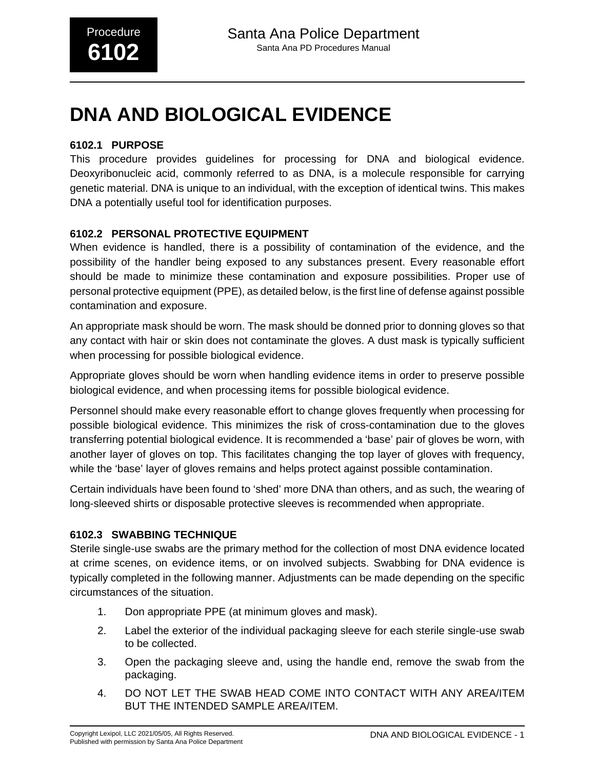# **DNA AND BIOLOGICAL EVIDENCE**

### **6102.1 PURPOSE**

This procedure provides guidelines for processing for DNA and biological evidence. Deoxyribonucleic acid, commonly referred to as DNA, is a molecule responsible for carrying genetic material. DNA is unique to an individual, with the exception of identical twins. This makes DNA a potentially useful tool for identification purposes.

### **6102.2 PERSONAL PROTECTIVE EQUIPMENT**

When evidence is handled, there is a possibility of contamination of the evidence, and the possibility of the handler being exposed to any substances present. Every reasonable effort should be made to minimize these contamination and exposure possibilities. Proper use of personal protective equipment (PPE), as detailed below, is the first line of defense against possible contamination and exposure.

An appropriate mask should be worn. The mask should be donned prior to donning gloves so that any contact with hair or skin does not contaminate the gloves. A dust mask is typically sufficient when processing for possible biological evidence.

Appropriate gloves should be worn when handling evidence items in order to preserve possible biological evidence, and when processing items for possible biological evidence.

Personnel should make every reasonable effort to change gloves frequently when processing for possible biological evidence. This minimizes the risk of cross-contamination due to the gloves transferring potential biological evidence. It is recommended a 'base' pair of gloves be worn, with another layer of gloves on top. This facilitates changing the top layer of gloves with frequency, while the 'base' layer of gloves remains and helps protect against possible contamination.

Certain individuals have been found to 'shed' more DNA than others, and as such, the wearing of long-sleeved shirts or disposable protective sleeves is recommended when appropriate.

### **6102.3 SWABBING TECHNIQUE**

Sterile single-use swabs are the primary method for the collection of most DNA evidence located at crime scenes, on evidence items, or on involved subjects. Swabbing for DNA evidence is typically completed in the following manner. Adjustments can be made depending on the specific circumstances of the situation.

- 1. Don appropriate PPE (at minimum gloves and mask).
- 2. Label the exterior of the individual packaging sleeve for each sterile single-use swab to be collected.
- 3. Open the packaging sleeve and, using the handle end, remove the swab from the packaging.
- 4. DO NOT LET THE SWAB HEAD COME INTO CONTACT WITH ANY AREA/ITEM BUT THE INTENDED SAMPLE AREA/ITEM.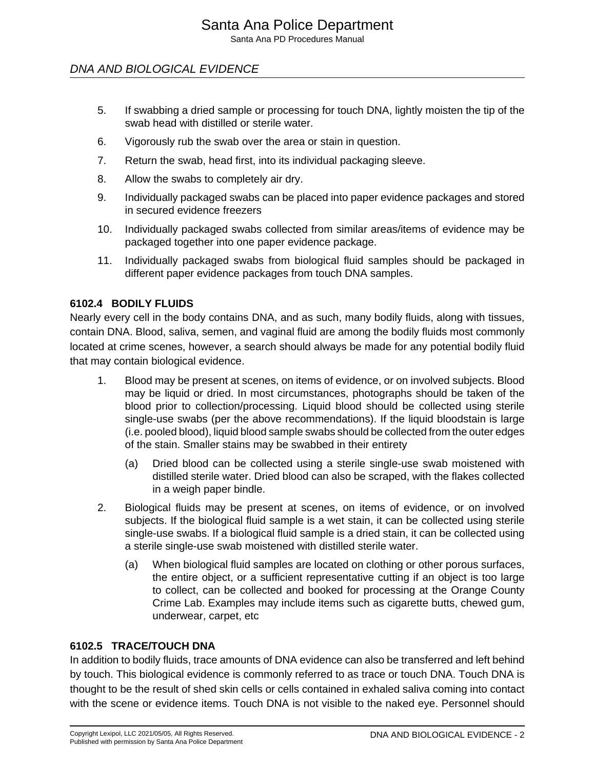Santa Ana PD Procedures Manual

## DNA AND BIOLOGICAL EVIDENCE

- 5. If swabbing a dried sample or processing for touch DNA, lightly moisten the tip of the swab head with distilled or sterile water.
- 6. Vigorously rub the swab over the area or stain in question.
- 7. Return the swab, head first, into its individual packaging sleeve.
- 8. Allow the swabs to completely air dry.
- 9. Individually packaged swabs can be placed into paper evidence packages and stored in secured evidence freezers
- 10. Individually packaged swabs collected from similar areas/items of evidence may be packaged together into one paper evidence package.
- 11. Individually packaged swabs from biological fluid samples should be packaged in different paper evidence packages from touch DNA samples.

#### **6102.4 BODILY FLUIDS**

Nearly every cell in the body contains DNA, and as such, many bodily fluids, along with tissues, contain DNA. Blood, saliva, semen, and vaginal fluid are among the bodily fluids most commonly located at crime scenes, however, a search should always be made for any potential bodily fluid that may contain biological evidence.

- 1. Blood may be present at scenes, on items of evidence, or on involved subjects. Blood may be liquid or dried. In most circumstances, photographs should be taken of the blood prior to collection/processing. Liquid blood should be collected using sterile single-use swabs (per the above recommendations). If the liquid bloodstain is large (i.e. pooled blood), liquid blood sample swabs should be collected from the outer edges of the stain. Smaller stains may be swabbed in their entirety
	- (a) Dried blood can be collected using a sterile single-use swab moistened with distilled sterile water. Dried blood can also be scraped, with the flakes collected in a weigh paper bindle.
- 2. Biological fluids may be present at scenes, on items of evidence, or on involved subjects. If the biological fluid sample is a wet stain, it can be collected using sterile single-use swabs. If a biological fluid sample is a dried stain, it can be collected using a sterile single-use swab moistened with distilled sterile water.
	- (a) When biological fluid samples are located on clothing or other porous surfaces, the entire object, or a sufficient representative cutting if an object is too large to collect, can be collected and booked for processing at the Orange County Crime Lab. Examples may include items such as cigarette butts, chewed gum, underwear, carpet, etc

#### **6102.5 TRACE/TOUCH DNA**

In addition to bodily fluids, trace amounts of DNA evidence can also be transferred and left behind by touch. This biological evidence is commonly referred to as trace or touch DNA. Touch DNA is thought to be the result of shed skin cells or cells contained in exhaled saliva coming into contact with the scene or evidence items. Touch DNA is not visible to the naked eye. Personnel should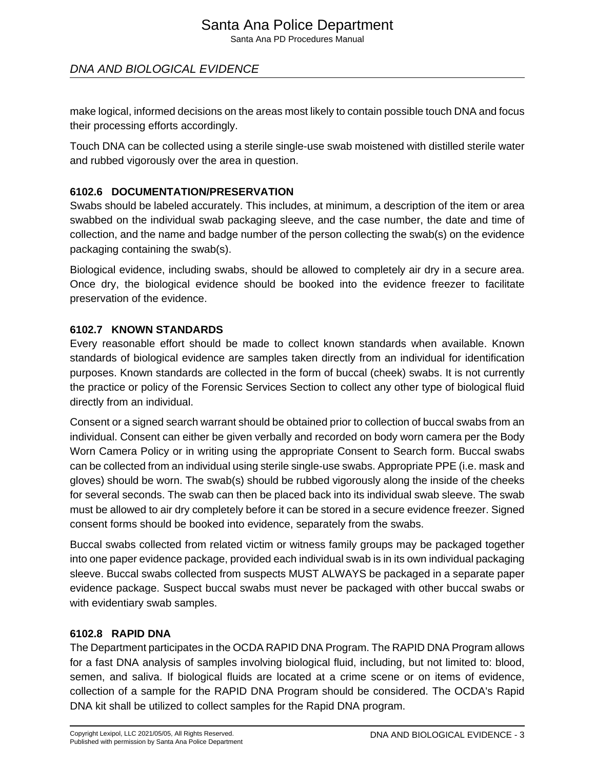# Santa Ana Police Department

Santa Ana PD Procedures Manual

# DNA AND BIOLOGICAL EVIDENCE

make logical, informed decisions on the areas most likely to contain possible touch DNA and focus their processing efforts accordingly.

Touch DNA can be collected using a sterile single-use swab moistened with distilled sterile water and rubbed vigorously over the area in question.

### **6102.6 DOCUMENTATION/PRESERVATION**

Swabs should be labeled accurately. This includes, at minimum, a description of the item or area swabbed on the individual swab packaging sleeve, and the case number, the date and time of collection, and the name and badge number of the person collecting the swab(s) on the evidence packaging containing the swab(s).

Biological evidence, including swabs, should be allowed to completely air dry in a secure area. Once dry, the biological evidence should be booked into the evidence freezer to facilitate preservation of the evidence.

### **6102.7 KNOWN STANDARDS**

Every reasonable effort should be made to collect known standards when available. Known standards of biological evidence are samples taken directly from an individual for identification purposes. Known standards are collected in the form of buccal (cheek) swabs. It is not currently the practice or policy of the Forensic Services Section to collect any other type of biological fluid directly from an individual.

Consent or a signed search warrant should be obtained prior to collection of buccal swabs from an individual. Consent can either be given verbally and recorded on body worn camera per the Body Worn Camera Policy or in writing using the appropriate Consent to Search form. Buccal swabs can be collected from an individual using sterile single-use swabs. Appropriate PPE (i.e. mask and gloves) should be worn. The swab(s) should be rubbed vigorously along the inside of the cheeks for several seconds. The swab can then be placed back into its individual swab sleeve. The swab must be allowed to air dry completely before it can be stored in a secure evidence freezer. Signed consent forms should be booked into evidence, separately from the swabs.

Buccal swabs collected from related victim or witness family groups may be packaged together into one paper evidence package, provided each individual swab is in its own individual packaging sleeve. Buccal swabs collected from suspects MUST ALWAYS be packaged in a separate paper evidence package. Suspect buccal swabs must never be packaged with other buccal swabs or with evidentiary swab samples.

### **6102.8 RAPID DNA**

The Department participates in the OCDA RAPID DNA Program. The RAPID DNA Program allows for a fast DNA analysis of samples involving biological fluid, including, but not limited to: blood, semen, and saliva. If biological fluids are located at a crime scene or on items of evidence, collection of a sample for the RAPID DNA Program should be considered. The OCDA's Rapid DNA kit shall be utilized to collect samples for the Rapid DNA program.